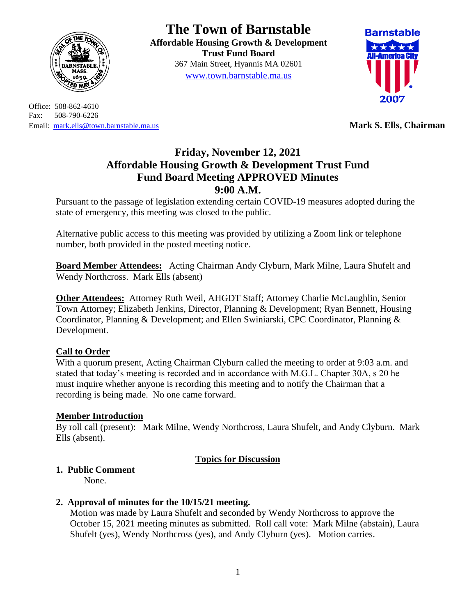

Office: 508-862-4610 Fax: 508-790-6226 Email: [mark.ells@town.barnstable.ma.us](mailto:mark.ells@town.barnstable.ma.us) **Mark S. Ells, Chairman**

# **The Town of Barnstable**

**Affordable Housing Growth & Development Trust Fund Board**  367 Main Street, Hyannis MA 02601 [www.town.barnstable.ma.us](http://www.town.barnstable.ma.us/)



# **Friday, November 12, 2021 Affordable Housing Growth & Development Trust Fund Fund Board Meeting APPROVED Minutes 9:00 A.M.**

Pursuant to the passage of legislation extending certain COVID-19 measures adopted during the state of emergency, this meeting was closed to the public.

Alternative public access to this meeting was provided by utilizing a Zoom link or telephone number, both provided in the posted meeting notice.

**Board Member Attendees:** Acting Chairman Andy Clyburn, Mark Milne, Laura Shufelt and Wendy Northcross. Mark Ells (absent)

**Other Attendees:** Attorney Ruth Weil, AHGDT Staff; Attorney Charlie McLaughlin, Senior Town Attorney; Elizabeth Jenkins, Director, Planning & Development; Ryan Bennett, Housing Coordinator, Planning & Development; and Ellen Swiniarski, CPC Coordinator, Planning & Development.

# **Call to Order**

With a quorum present, Acting Chairman Clyburn called the meeting to order at 9:03 a.m. and stated that today's meeting is recorded and in accordance with M.G.L. Chapter 30A, s 20 he must inquire whether anyone is recording this meeting and to notify the Chairman that a recording is being made. No one came forward.

## **Member Introduction**

By roll call (present): Mark Milne, Wendy Northcross, Laura Shufelt, and Andy Clyburn. Mark Ells (absent).

## **Topics for Discussion**

# **1. Public Comment**

None.

## **2. Approval of minutes for the 10/15/21 meeting.**

Motion was made by Laura Shufelt and seconded by Wendy Northcross to approve the October 15, 2021 meeting minutes as submitted. Roll call vote: Mark Milne (abstain), Laura Shufelt (yes), Wendy Northcross (yes), and Andy Clyburn (yes). Motion carries.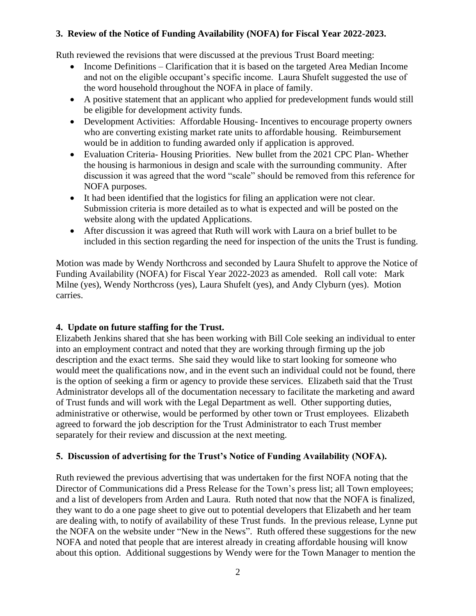## **3. Review of the Notice of Funding Availability (NOFA) for Fiscal Year 2022-2023.**

Ruth reviewed the revisions that were discussed at the previous Trust Board meeting:

- Income Definitions Clarification that it is based on the targeted Area Median Income and not on the eligible occupant's specific income. Laura Shufelt suggested the use of the word household throughout the NOFA in place of family.
- A positive statement that an applicant who applied for predevelopment funds would still be eligible for development activity funds.
- Development Activities: Affordable Housing-Incentives to encourage property owners who are converting existing market rate units to affordable housing. Reimbursement would be in addition to funding awarded only if application is approved.
- Evaluation Criteria-Housing Priorities. New bullet from the 2021 CPC Plan-Whether the housing is harmonious in design and scale with the surrounding community. After discussion it was agreed that the word "scale" should be removed from this reference for NOFA purposes.
- It had been identified that the logistics for filing an application were not clear. Submission criteria is more detailed as to what is expected and will be posted on the website along with the updated Applications.
- After discussion it was agreed that Ruth will work with Laura on a brief bullet to be included in this section regarding the need for inspection of the units the Trust is funding.

Motion was made by Wendy Northcross and seconded by Laura Shufelt to approve the Notice of Funding Availability (NOFA) for Fiscal Year 2022-2023 as amended. Roll call vote: Mark Milne (yes), Wendy Northcross (yes), Laura Shufelt (yes), and Andy Clyburn (yes). Motion carries.

# **4. Update on future staffing for the Trust.**

Elizabeth Jenkins shared that she has been working with Bill Cole seeking an individual to enter into an employment contract and noted that they are working through firming up the job description and the exact terms. She said they would like to start looking for someone who would meet the qualifications now, and in the event such an individual could not be found, there is the option of seeking a firm or agency to provide these services. Elizabeth said that the Trust Administrator develops all of the documentation necessary to facilitate the marketing and award of Trust funds and will work with the Legal Department as well. Other supporting duties, administrative or otherwise, would be performed by other town or Trust employees. Elizabeth agreed to forward the job description for the Trust Administrator to each Trust member separately for their review and discussion at the next meeting.

# **5. Discussion of advertising for the Trust's Notice of Funding Availability (NOFA).**

Ruth reviewed the previous advertising that was undertaken for the first NOFA noting that the Director of Communications did a Press Release for the Town's press list; all Town employees; and a list of developers from Arden and Laura. Ruth noted that now that the NOFA is finalized, they want to do a one page sheet to give out to potential developers that Elizabeth and her team are dealing with, to notify of availability of these Trust funds. In the previous release, Lynne put the NOFA on the website under "New in the News". Ruth offered these suggestions for the new NOFA and noted that people that are interest already in creating affordable housing will know about this option. Additional suggestions by Wendy were for the Town Manager to mention the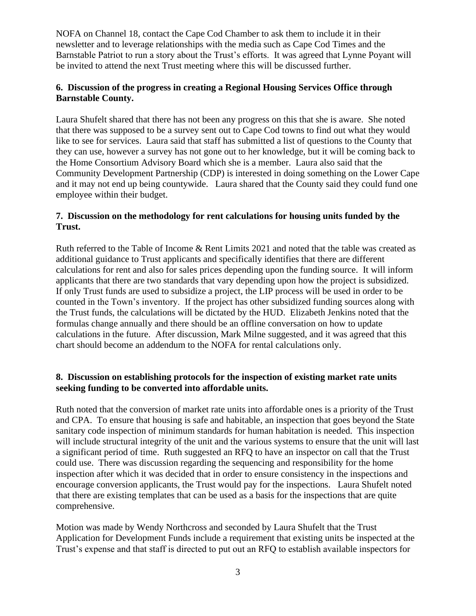NOFA on Channel 18, contact the Cape Cod Chamber to ask them to include it in their newsletter and to leverage relationships with the media such as Cape Cod Times and the Barnstable Patriot to run a story about the Trust's efforts. It was agreed that Lynne Poyant will be invited to attend the next Trust meeting where this will be discussed further.

#### **6. Discussion of the progress in creating a Regional Housing Services Office through Barnstable County.**

Laura Shufelt shared that there has not been any progress on this that she is aware. She noted that there was supposed to be a survey sent out to Cape Cod towns to find out what they would like to see for services. Laura said that staff has submitted a list of questions to the County that they can use, however a survey has not gone out to her knowledge, but it will be coming back to the Home Consortium Advisory Board which she is a member. Laura also said that the Community Development Partnership (CDP) is interested in doing something on the Lower Cape and it may not end up being countywide. Laura shared that the County said they could fund one employee within their budget.

### **7. Discussion on the methodology for rent calculations for housing units funded by the Trust.**

Ruth referred to the Table of Income & Rent Limits 2021 and noted that the table was created as additional guidance to Trust applicants and specifically identifies that there are different calculations for rent and also for sales prices depending upon the funding source. It will inform applicants that there are two standards that vary depending upon how the project is subsidized. If only Trust funds are used to subsidize a project, the LIP process will be used in order to be counted in the Town's inventory. If the project has other subsidized funding sources along with the Trust funds, the calculations will be dictated by the HUD. Elizabeth Jenkins noted that the formulas change annually and there should be an offline conversation on how to update calculations in the future. After discussion, Mark Milne suggested, and it was agreed that this chart should become an addendum to the NOFA for rental calculations only.

#### **8. Discussion on establishing protocols for the inspection of existing market rate units seeking funding to be converted into affordable units.**

Ruth noted that the conversion of market rate units into affordable ones is a priority of the Trust and CPA. To ensure that housing is safe and habitable, an inspection that goes beyond the State sanitary code inspection of minimum standards for human habitation is needed. This inspection will include structural integrity of the unit and the various systems to ensure that the unit will last a significant period of time. Ruth suggested an RFQ to have an inspector on call that the Trust could use. There was discussion regarding the sequencing and responsibility for the home inspection after which it was decided that in order to ensure consistency in the inspections and encourage conversion applicants, the Trust would pay for the inspections. Laura Shufelt noted that there are existing templates that can be used as a basis for the inspections that are quite comprehensive.

Motion was made by Wendy Northcross and seconded by Laura Shufelt that the Trust Application for Development Funds include a requirement that existing units be inspected at the Trust's expense and that staff is directed to put out an RFQ to establish available inspectors for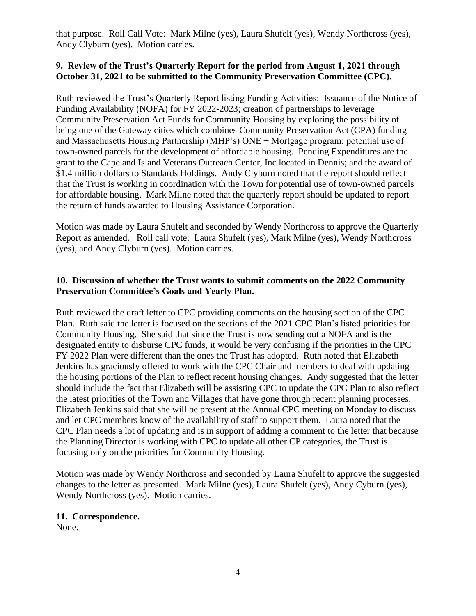that purpose. Roll Call Vote: Mark Milne (yes), Laura Shufelt (yes), Wendy Northcross (yes), Andy Clyburn (yes). Motion carries.

## **9. Review of the Trust's Quarterly Report for the period from August 1, 2021 through October 31, 2021 to be submitted to the Community Preservation Committee (CPC).**

Ruth reviewed the Trust's Quarterly Report listing Funding Activities: Issuance of the Notice of Funding Availability (NOFA) for FY 2022-2023; creation of partnerships to leverage Community Preservation Act Funds for Community Housing by exploring the possibility of being one of the Gateway cities which combines Community Preservation Act (CPA) funding and Massachusetts Housing Partnership (MHP's) ONE + Mortgage program; potential use of town-owned parcels for the development of affordable housing. Pending Expenditures are the grant to the Cape and Island Veterans Outreach Center, Inc located in Dennis; and the award of \$1.4 million dollars to Standards Holdings. Andy Clyburn noted that the report should reflect that the Trust is working in coordination with the Town for potential use of town-owned parcels for affordable housing. Mark Milne noted that the quarterly report should be updated to report the return of funds awarded to Housing Assistance Corporation.

Motion was made by Laura Shufelt and seconded by Wendy Northcross to approve the Quarterly Report as amended. Roll call vote: Laura Shufelt (yes), Mark Milne (yes), Wendy Northcross (yes), and Andy Clyburn (yes). Motion carries.

### **10. Discussion of whether the Trust wants to submit comments on the 2022 Community Preservation Committee's Goals and Yearly Plan.**

Ruth reviewed the draft letter to CPC providing comments on the housing section of the CPC Plan. Ruth said the letter is focused on the sections of the 2021 CPC Plan's listed priorities for Community Housing. She said that since the Trust is now sending out a NOFA and is the designated entity to disburse CPC funds, it would be very confusing if the priorities in the CPC FY 2022 Plan were different than the ones the Trust has adopted. Ruth noted that Elizabeth Jenkins has graciously offered to work with the CPC Chair and members to deal with updating the housing portions of the Plan to reflect recent housing changes. Andy suggested that the letter should include the fact that Elizabeth will be assisting CPC to update the CPC Plan to also reflect the latest priorities of the Town and Villages that have gone through recent planning processes. Elizabeth Jenkins said that she will be present at the Annual CPC meeting on Monday to discuss and let CPC members know of the availability of staff to support them. Laura noted that the CPC Plan needs a lot of updating and is in support of adding a comment to the letter that because the Planning Director is working with CPC to update all other CP categories, the Trust is focusing only on the priorities for Community Housing.

Motion was made by Wendy Northcross and seconded by Laura Shufelt to approve the suggested changes to the letter as presented. Mark Milne (yes), Laura Shufelt (yes), Andy Cyburn (yes), Wendy Northcross (yes). Motion carries.

#### **11. Correspondence.**

None.